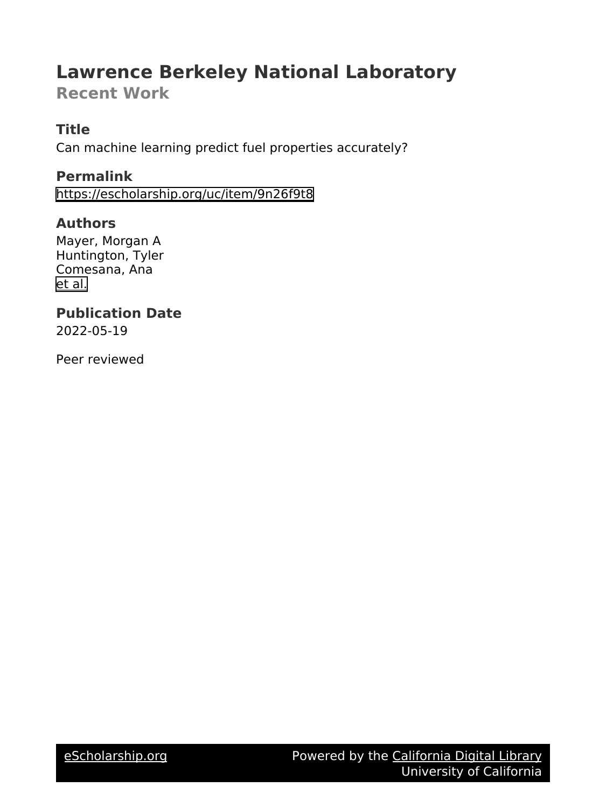## **Lawrence Berkeley National Laboratory**

**Recent Work**

## **Title**

Can machine learning predict fuel properties accurately?

**Permalink** <https://escholarship.org/uc/item/9n26f9t8>

## **Authors**

Mayer, Morgan A Huntington, Tyler Comesana, Ana [et al.](https://escholarship.org/uc/item/9n26f9t8#author)

#### **Publication Date** 2022-05-19

Peer reviewed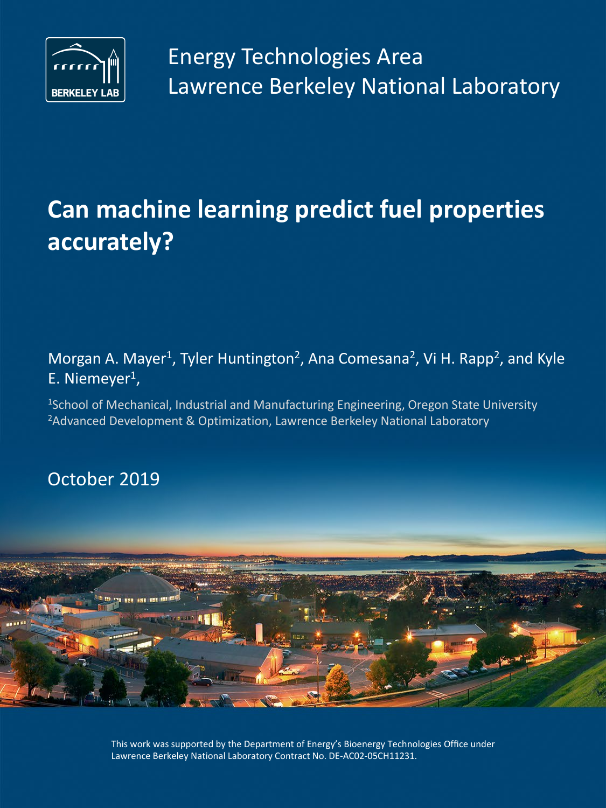

# **Can machine learning predict fuel properties accurately?**

Morgan A. Mayer<sup>1</sup>, Tyler Huntington<sup>2</sup>, Ana Comesana<sup>2</sup>, Vi H. Rapp<sup>2</sup>, and Kyle E. Niemeyer<sup>1</sup>,

<sup>1</sup>School of Mechanical, Industrial and Manufacturing Engineering, Oregon State University <sup>2</sup>Advanced Development & Optimization, Lawrence Berkeley National Laboratory

October 2019



This work was supported by the Department of Energy's Bioenergy Technologies Office under Lawrence Berkeley National Laboratory Contract No. DE-AC02-05CH11231.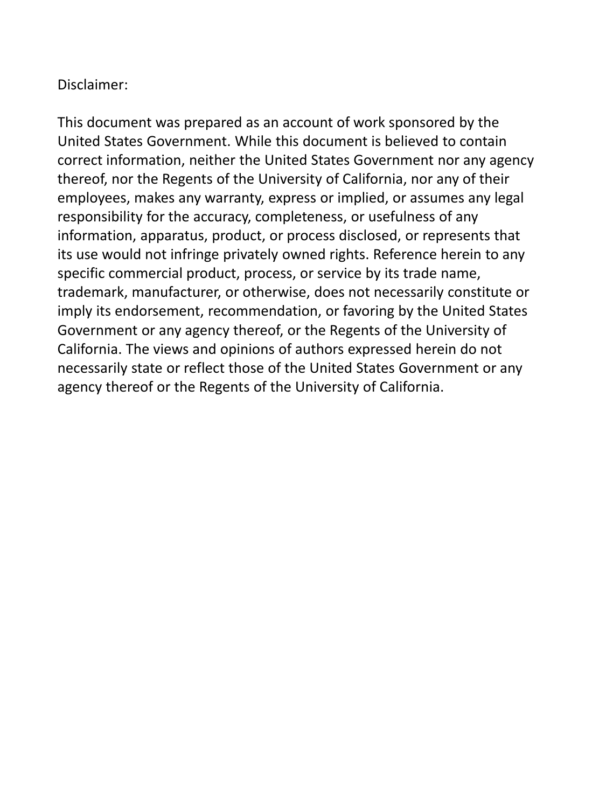### Disclaimer:

This document was prepared as an account of work sponsored by the United States Government. While this document is believed to contain correct information, neither the United States Government nor any agency thereof, nor the Regents of the University of California, nor any of their employees, makes any warranty, express or implied, or assumes any legal responsibility for the accuracy, completeness, or usefulness of any information, apparatus, product, or process disclosed, or represents that its use would not infringe privately owned rights. Reference herein to any specific commercial product, process, or service by its trade name, trademark, manufacturer, or otherwise, does not necessarily constitute or imply its endorsement, recommendation, or favoring by the United States Government or any agency thereof, or the Regents of the University of California. The views and opinions of authors expressed herein do not necessarily state or reflect those of the United States Government or any agency thereof or the Regents of the University of California.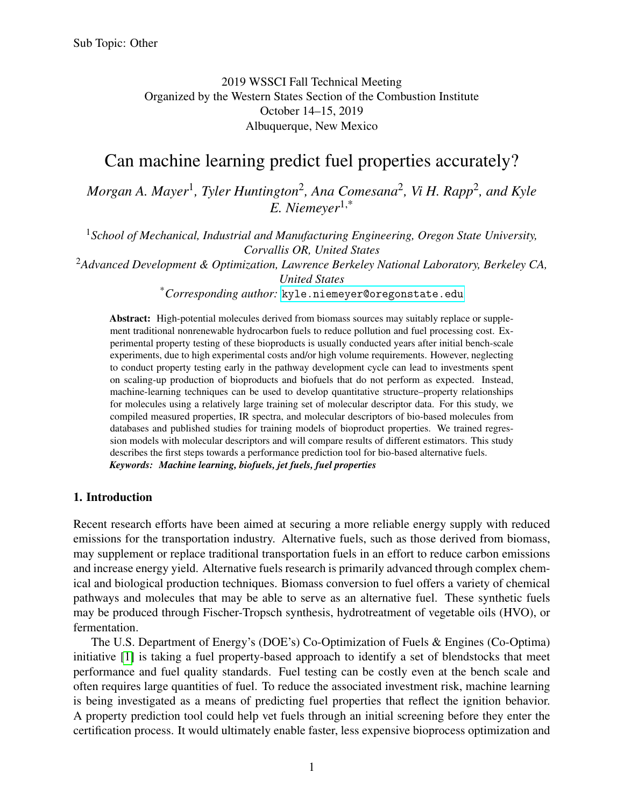2019 WSSCI Fall Technical Meeting Organized by the Western States Section of the Combustion Institute October 14–15, 2019 Albuquerque, New Mexico

## Can machine learning predict fuel properties accurately?

*Morgan A. Mayer*<sup>1</sup> *, Tyler Huntington*<sup>2</sup> *, Ana Comesana*<sup>2</sup> *, Vi H. Rapp*<sup>2</sup> *, and Kyle E. Niemeyer*1,\*

<sup>1</sup>*School of Mechanical, Industrial and Manufacturing Engineering, Oregon State University, Corvallis OR, United States*

<sup>2</sup>*Advanced Development & Optimization, Lawrence Berkeley National Laboratory, Berkeley CA, United States*

\**Corresponding author:* [kyle.niemeyer@oregonstate.edu](mailto:kyle.niemeyer@oregonstate.edu)

Abstract: High-potential molecules derived from biomass sources may suitably replace or supplement traditional nonrenewable hydrocarbon fuels to reduce pollution and fuel processing cost. Experimental property testing of these bioproducts is usually conducted years after initial bench-scale experiments, due to high experimental costs and/or high volume requirements. However, neglecting to conduct property testing early in the pathway development cycle can lead to investments spent on scaling-up production of bioproducts and biofuels that do not perform as expected. Instead, machine-learning techniques can be used to develop quantitative structure–property relationships for molecules using a relatively large training set of molecular descriptor data. For this study, we compiled measured properties, IR spectra, and molecular descriptors of bio-based molecules from databases and published studies for training models of bioproduct properties. We trained regression models with molecular descriptors and will compare results of different estimators. This study describes the first steps towards a performance prediction tool for bio-based alternative fuels. *Keywords: Machine learning, biofuels, jet fuels, fuel properties*

#### 1. Introduction

Recent research efforts have been aimed at securing a more reliable energy supply with reduced emissions for the transportation industry. Alternative fuels, such as those derived from biomass, may supplement or replace traditional transportation fuels in an effort to reduce carbon emissions and increase energy yield. Alternative fuels research is primarily advanced through complex chemical and biological production techniques. Biomass conversion to fuel offers a variety of chemical pathways and molecules that may be able to serve as an alternative fuel. These synthetic fuels may be produced through Fischer-Tropsch synthesis, hydrotreatment of vegetable oils (HVO), or fermentation.

The U.S. Department of Energy's (DOE's) Co-Optimization of Fuels & Engines (Co-Optima) initiative [\[1\]](#page-9-0) is taking a fuel property-based approach to identify a set of blendstocks that meet performance and fuel quality standards. Fuel testing can be costly even at the bench scale and often requires large quantities of fuel. To reduce the associated investment risk, machine learning is being investigated as a means of predicting fuel properties that reflect the ignition behavior. A property prediction tool could help vet fuels through an initial screening before they enter the certification process. It would ultimately enable faster, less expensive bioprocess optimization and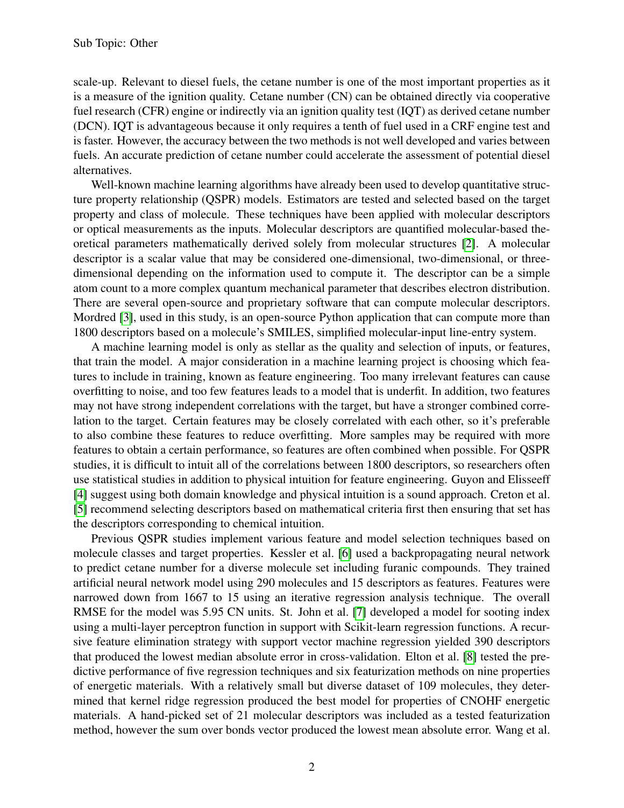scale-up. Relevant to diesel fuels, the cetane number is one of the most important properties as it is a measure of the ignition quality. Cetane number (CN) can be obtained directly via cooperative fuel research (CFR) engine or indirectly via an ignition quality test (IQT) as derived cetane number (DCN). IQT is advantageous because it only requires a tenth of fuel used in a CRF engine test and is faster. However, the accuracy between the two methods is not well developed and varies between fuels. An accurate prediction of cetane number could accelerate the assessment of potential diesel alternatives.

Well-known machine learning algorithms have already been used to develop quantitative structure property relationship (QSPR) models. Estimators are tested and selected based on the target property and class of molecule. These techniques have been applied with molecular descriptors or optical measurements as the inputs. Molecular descriptors are quantified molecular-based theoretical parameters mathematically derived solely from molecular structures [\[2\]](#page-9-1). A molecular descriptor is a scalar value that may be considered one-dimensional, two-dimensional, or threedimensional depending on the information used to compute it. The descriptor can be a simple atom count to a more complex quantum mechanical parameter that describes electron distribution. There are several open-source and proprietary software that can compute molecular descriptors. Mordred [\[3\]](#page-9-2), used in this study, is an open-source Python application that can compute more than 1800 descriptors based on a molecule's SMILES, simplified molecular-input line-entry system.

A machine learning model is only as stellar as the quality and selection of inputs, or features, that train the model. A major consideration in a machine learning project is choosing which features to include in training, known as feature engineering. Too many irrelevant features can cause overfitting to noise, and too few features leads to a model that is underfit. In addition, two features may not have strong independent correlations with the target, but have a stronger combined correlation to the target. Certain features may be closely correlated with each other, so it's preferable to also combine these features to reduce overfitting. More samples may be required with more features to obtain a certain performance, so features are often combined when possible. For QSPR studies, it is difficult to intuit all of the correlations between 1800 descriptors, so researchers often use statistical studies in addition to physical intuition for feature engineering. Guyon and Elisseeff [\[4\]](#page-9-3) suggest using both domain knowledge and physical intuition is a sound approach. Creton et al. [\[5\]](#page-9-4) recommend selecting descriptors based on mathematical criteria first then ensuring that set has the descriptors corresponding to chemical intuition.

Previous QSPR studies implement various feature and model selection techniques based on molecule classes and target properties. Kessler et al. [\[6\]](#page-9-5) used a backpropagating neural network to predict cetane number for a diverse molecule set including furanic compounds. They trained artificial neural network model using 290 molecules and 15 descriptors as features. Features were narrowed down from 1667 to 15 using an iterative regression analysis technique. The overall RMSE for the model was 5.95 CN units. St. John et al. [\[7\]](#page-9-6) developed a model for sooting index using a multi-layer perceptron function in support with Scikit-learn regression functions. A recursive feature elimination strategy with support vector machine regression yielded 390 descriptors that produced the lowest median absolute error in cross-validation. Elton et al. [\[8\]](#page-9-7) tested the predictive performance of five regression techniques and six featurization methods on nine properties of energetic materials. With a relatively small but diverse dataset of 109 molecules, they determined that kernel ridge regression produced the best model for properties of CNOHF energetic materials. A hand-picked set of 21 molecular descriptors was included as a tested featurization method, however the sum over bonds vector produced the lowest mean absolute error. Wang et al.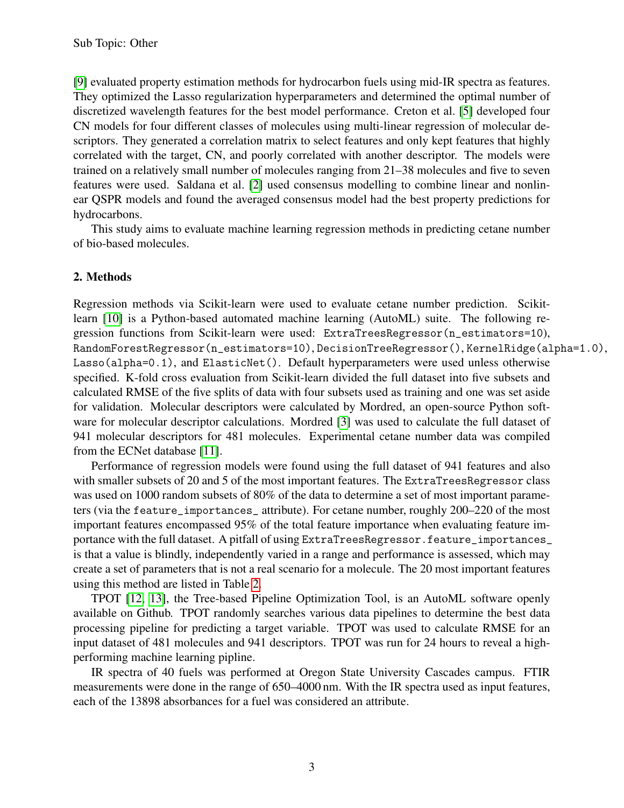[\[9\]](#page-9-8) evaluated property estimation methods for hydrocarbon fuels using mid-IR spectra as features. They optimized the Lasso regularization hyperparameters and determined the optimal number of discretized wavelength features for the best model performance. Creton et al. [\[5\]](#page-9-4) developed four CN models for four different classes of molecules using multi-linear regression of molecular descriptors. They generated a correlation matrix to select features and only kept features that highly correlated with the target, CN, and poorly correlated with another descriptor. The models were trained on a relatively small number of molecules ranging from 21–38 molecules and five to seven features were used. Saldana et al. [\[2\]](#page-9-1) used consensus modelling to combine linear and nonlinear QSPR models and found the averaged consensus model had the best property predictions for hydrocarbons.

This study aims to evaluate machine learning regression methods in predicting cetane number of bio-based molecules.

#### <span id="page-5-0"></span>2. Methods

Regression methods via Scikit-learn were used to evaluate cetane number prediction. Scikitlearn [\[10\]](#page-9-9) is a Python-based automated machine learning (AutoML) suite. The following regression functions from Scikit-learn were used: ExtraTreesRegressor(n\_estimators=10), RandomForestRegressor(n\_estimators=10), DecisionTreeRegressor(), KernelRidge(alpha=1.0), Lasso(alpha=0.1), and ElasticNet(). Default hyperparameters were used unless otherwise specified. K-fold cross evaluation from Scikit-learn divided the full dataset into five subsets and calculated RMSE of the five splits of data with four subsets used as training and one was set aside for validation. Molecular descriptors were calculated by Mordred, an open-source Python software for molecular descriptor calculations. Mordred [\[3\]](#page-9-2) was used to calculate the full dataset of 941 molecular descriptors for 481 molecules. Experimental cetane number data was compiled from the ECNet database [\[11\]](#page-9-10).

Performance of regression models were found using the full dataset of 941 features and also with smaller subsets of 20 and 5 of the most important features. The ExtraTreesRegressor class was used on 1000 random subsets of 80% of the data to determine a set of most important parameters (via the feature\_importances\_ attribute). For cetane number, roughly 200–220 of the most important features encompassed 95% of the total feature importance when evaluating feature importance with the full dataset. A pitfall of using ExtraTreesRegressor.feature\_importances\_ is that a value is blindly, independently varied in a range and performance is assessed, which may create a set of parameters that is not a real scenario for a molecule. The 20 most important features using this method are listed in Table [2.](#page-5-0)

TPOT [\[12,](#page-10-0) [13\]](#page-10-1), the Tree-based Pipeline Optimization Tool, is an AutoML software openly available on Github. TPOT randomly searches various data pipelines to determine the best data processing pipeline for predicting a target variable. TPOT was used to calculate RMSE for an input dataset of 481 molecules and 941 descriptors. TPOT was run for 24 hours to reveal a highperforming machine learning pipline.

IR spectra of 40 fuels was performed at Oregon State University Cascades campus. FTIR measurements were done in the range of 650–4000 nm. With the IR spectra used as input features, each of the 13898 absorbances for a fuel was considered an attribute.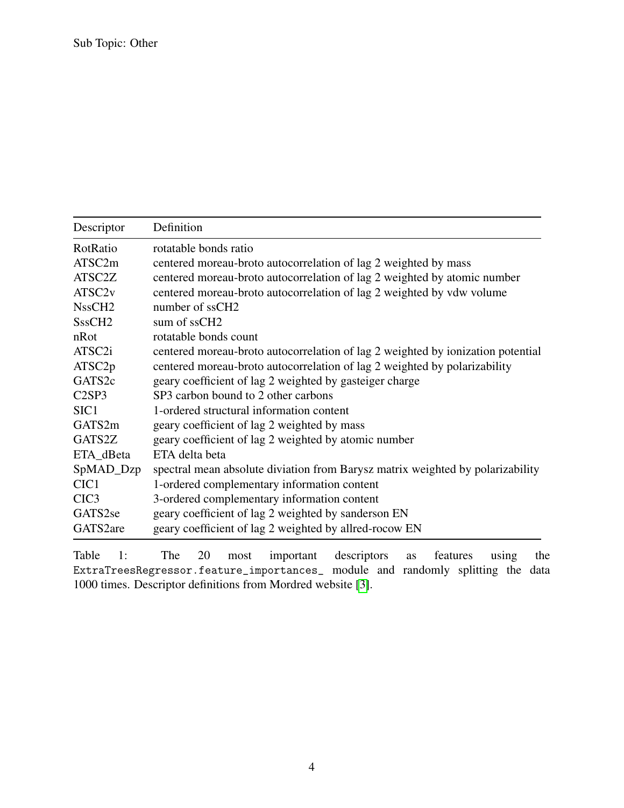| Descriptor         | Definition                                                                      |
|--------------------|---------------------------------------------------------------------------------|
| RotRatio           | rotatable bonds ratio                                                           |
| ATSC2m             | centered moreau-broto autocorrelation of lag 2 weighted by mass                 |
| ATSC2Z             | centered moreau-broto autocorrelation of lag 2 weighted by atomic number        |
| ATSC <sub>2v</sub> | centered moreau-broto autocorrelation of lag 2 weighted by vdw volume           |
| NssCH <sub>2</sub> | number of ssCH <sub>2</sub>                                                     |
| SssCH <sub>2</sub> | sum of ssCH <sub>2</sub>                                                        |
| nRot               | rotatable bonds count                                                           |
| ATSC <sub>2i</sub> | centered moreau-broto autocorrelation of lag 2 weighted by ionization potential |
| ATSC <sub>2p</sub> | centered moreau-broto autocorrelation of lag 2 weighted by polarizability       |
| GATS2c             | geary coefficient of lag 2 weighted by gasteiger charge                         |
| C2SP3              | SP3 carbon bound to 2 other carbons                                             |
| SIC <sub>1</sub>   | 1-ordered structural information content                                        |
| GATS2m             | geary coefficient of lag 2 weighted by mass                                     |
| GATS2Z             | geary coefficient of lag 2 weighted by atomic number                            |
| ETA_dBeta          | ETA delta beta                                                                  |
| SpMAD_Dzp          | spectral mean absolute diviation from Barysz matrix weighted by polarizability  |
| CIC <sub>1</sub>   | 1-ordered complementary information content                                     |
| CIC <sub>3</sub>   | 3-ordered complementary information content                                     |
| GATS2se            | geary coefficient of lag 2 weighted by sanderson EN                             |
| GATS2are           | geary coefficient of lag 2 weighted by allred-rocow EN                          |

Table 1: The 20 most important descriptors as features using the ExtraTreesRegressor.feature\_importances\_ module and randomly splitting the data 1000 times. Descriptor definitions from Mordred website [\[3\]](#page-9-2).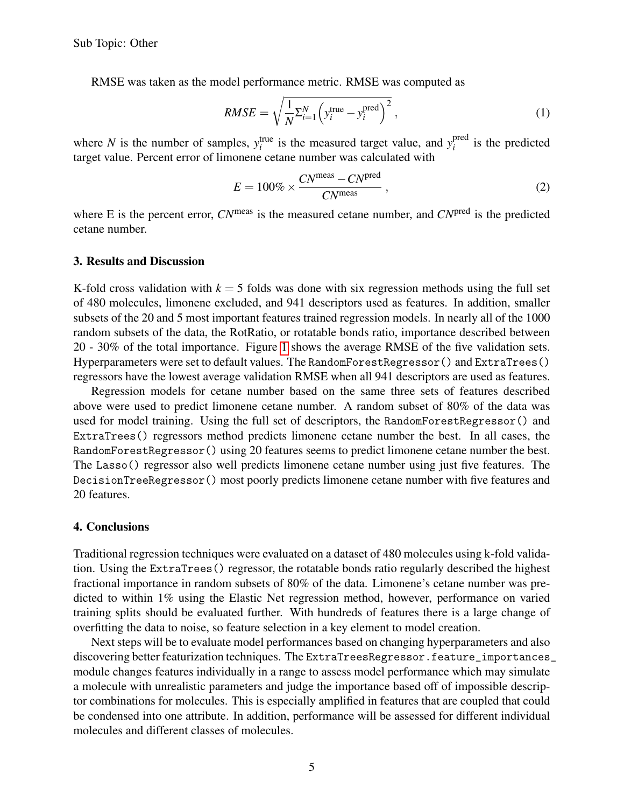RMSE was taken as the model performance metric. RMSE was computed as

$$
RMSE = \sqrt{\frac{1}{N} \sum_{i=1}^{N} \left( y_i^{\text{true}} - y_i^{\text{pred}} \right)^2},
$$
\n(1)

where *N* is the number of samples,  $y_i^{\text{true}}$  is the measured target value, and  $y_i^{\text{pred}}$  $i$ <sup>pred</sup> is the predicted target value. Percent error of limonene cetane number was calculated with

$$
E = 100\% \times \frac{CN^{\text{meas}} - CN^{\text{pred}}}{CN^{\text{meas}}},
$$
 (2)

where E is the percent error,  $CN^{\text{meas}}$  is the measured cetane number, and  $CN^{\text{pred}}$  is the predicted cetane number.

#### 3. Results and Discussion

K-fold cross validation with  $k = 5$  folds was done with six regression methods using the full set of 480 molecules, limonene excluded, and 941 descriptors used as features. In addition, smaller subsets of the 20 and 5 most important features trained regression models. In nearly all of the 1000 random subsets of the data, the RotRatio, or rotatable bonds ratio, importance described between 20 - 30% of the total importance. Figure [1](#page-8-0) shows the average RMSE of the five validation sets. Hyperparameters were set to default values. The RandomForestRegressor() and ExtraTrees() regressors have the lowest average validation RMSE when all 941 descriptors are used as features.

Regression models for cetane number based on the same three sets of features described above were used to predict limonene cetane number. A random subset of 80% of the data was used for model training. Using the full set of descriptors, the RandomForestRegressor() and ExtraTrees() regressors method predicts limonene cetane number the best. In all cases, the RandomForestRegressor() using 20 features seems to predict limonene cetane number the best. The Lasso() regressor also well predicts limonene cetane number using just five features. The DecisionTreeRegressor() most poorly predicts limonene cetane number with five features and 20 features.

#### 4. Conclusions

Traditional regression techniques were evaluated on a dataset of 480 molecules using k-fold validation. Using the ExtraTrees() regressor, the rotatable bonds ratio regularly described the highest fractional importance in random subsets of 80% of the data. Limonene's cetane number was predicted to within 1% using the Elastic Net regression method, however, performance on varied training splits should be evaluated further. With hundreds of features there is a large change of overfitting the data to noise, so feature selection in a key element to model creation.

Next steps will be to evaluate model performances based on changing hyperparameters and also discovering better featurization techniques. The ExtraTreesRegressor.feature\_importances\_ module changes features individually in a range to assess model performance which may simulate a molecule with unrealistic parameters and judge the importance based off of impossible descriptor combinations for molecules. This is especially amplified in features that are coupled that could be condensed into one attribute. In addition, performance will be assessed for different individual molecules and different classes of molecules.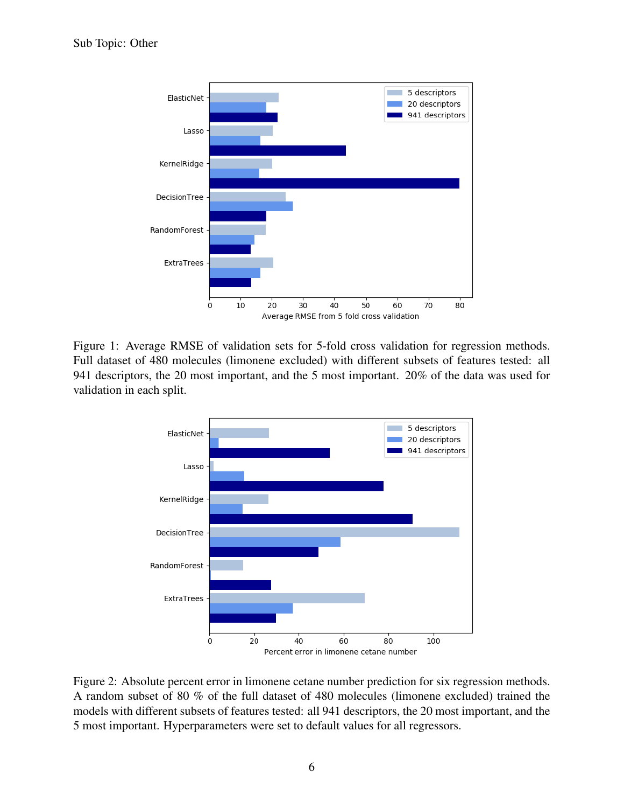

<span id="page-8-0"></span>Figure 1: Average RMSE of validation sets for 5-fold cross validation for regression methods. Full dataset of 480 molecules (limonene excluded) with different subsets of features tested: all 941 descriptors, the 20 most important, and the 5 most important. 20% of the data was used for validation in each split.





6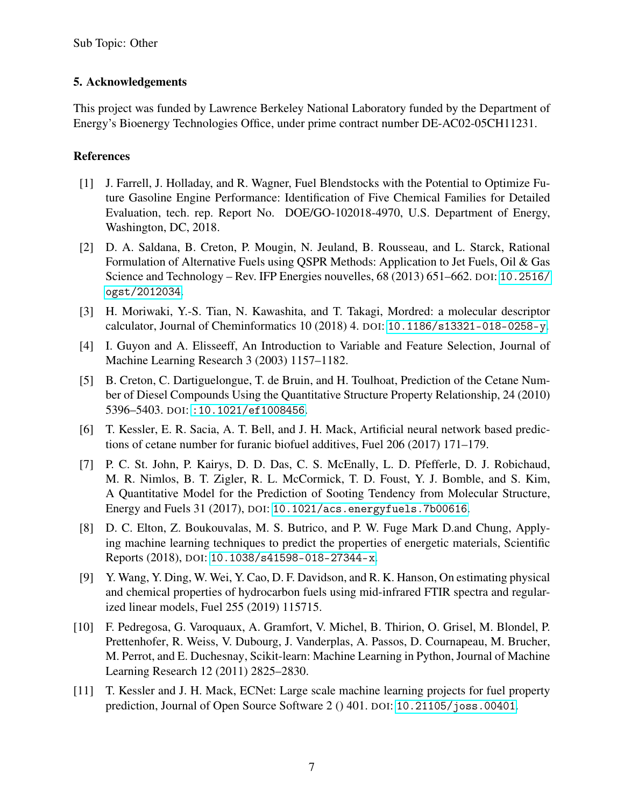#### 5. Acknowledgements

This project was funded by Lawrence Berkeley National Laboratory funded by the Department of Energy's Bioenergy Technologies Office, under prime contract number DE-AC02-05CH11231.

#### References

- <span id="page-9-0"></span>[1] J. Farrell, J. Holladay, and R. Wagner, Fuel Blendstocks with the Potential to Optimize Future Gasoline Engine Performance: Identification of Five Chemical Families for Detailed Evaluation, tech. rep. Report No. DOE/GO-102018-4970, U.S. Department of Energy, Washington, DC, 2018.
- <span id="page-9-1"></span>[2] D. A. Saldana, B. Creton, P. Mougin, N. Jeuland, B. Rousseau, and L. Starck, Rational Formulation of Alternative Fuels using QSPR Methods: Application to Jet Fuels, Oil & Gas Science and Technology – Rev. IFP Energies nouvelles, 68 (2013) 651–662. DOI: [10.2516/](https://doi.org/10.2516/ogst/2012034) [ogst/2012034](https://doi.org/10.2516/ogst/2012034).
- <span id="page-9-2"></span>[3] H. Moriwaki, Y.-S. Tian, N. Kawashita, and T. Takagi, Mordred: a molecular descriptor calculator, Journal of Cheminformatics 10 (2018) 4. DOI: [10.1186/s13321-018-0258-y](https://doi.org/10.1186/s13321-018-0258-y).
- <span id="page-9-3"></span>[4] I. Guyon and A. Elisseeff, An Introduction to Variable and Feature Selection, Journal of Machine Learning Research 3 (2003) 1157–1182.
- <span id="page-9-4"></span>[5] B. Creton, C. Dartiguelongue, T. de Bruin, and H. Toulhoat, Prediction of the Cetane Number of Diesel Compounds Using the Quantitative Structure Property Relationship, 24 (2010) 5396–5403. DOI: [:10.1021/ef1008456](https://doi.org/:10.1021/ef1008456).
- <span id="page-9-5"></span>[6] T. Kessler, E. R. Sacia, A. T. Bell, and J. H. Mack, Artificial neural network based predictions of cetane number for furanic biofuel additives, Fuel 206 (2017) 171–179.
- <span id="page-9-6"></span>[7] P. C. St. John, P. Kairys, D. D. Das, C. S. McEnally, L. D. Pfefferle, D. J. Robichaud, M. R. Nimlos, B. T. Zigler, R. L. McCormick, T. D. Foust, Y. J. Bomble, and S. Kim, A Quantitative Model for the Prediction of Sooting Tendency from Molecular Structure, Energy and Fuels 31 (2017), DOI: [10.1021/acs.energyfuels.7b00616](https://doi.org/10.1021/acs.energyfuels.7b00616).
- <span id="page-9-7"></span>[8] D. C. Elton, Z. Boukouvalas, M. S. Butrico, and P. W. Fuge Mark D.and Chung, Applying machine learning techniques to predict the properties of energetic materials, Scientific Reports (2018), DOI: [10.1038/s41598-018-27344-x](https://doi.org/10.1038/s41598-018-27344-x).
- <span id="page-9-8"></span>[9] Y. Wang, Y. Ding, W. Wei, Y. Cao, D. F. Davidson, and R. K. Hanson, On estimating physical and chemical properties of hydrocarbon fuels using mid-infrared FTIR spectra and regularized linear models, Fuel 255 (2019) 115715.
- <span id="page-9-9"></span>[10] F. Pedregosa, G. Varoquaux, A. Gramfort, V. Michel, B. Thirion, O. Grisel, M. Blondel, P. Prettenhofer, R. Weiss, V. Dubourg, J. Vanderplas, A. Passos, D. Cournapeau, M. Brucher, M. Perrot, and E. Duchesnay, Scikit-learn: Machine Learning in Python, Journal of Machine Learning Research 12 (2011) 2825–2830.
- <span id="page-9-10"></span>[11] T. Kessler and J. H. Mack, ECNet: Large scale machine learning projects for fuel property prediction, Journal of Open Source Software 2 () 401. DOI: [10.21105/joss.00401](https://doi.org/10.21105/joss.00401).